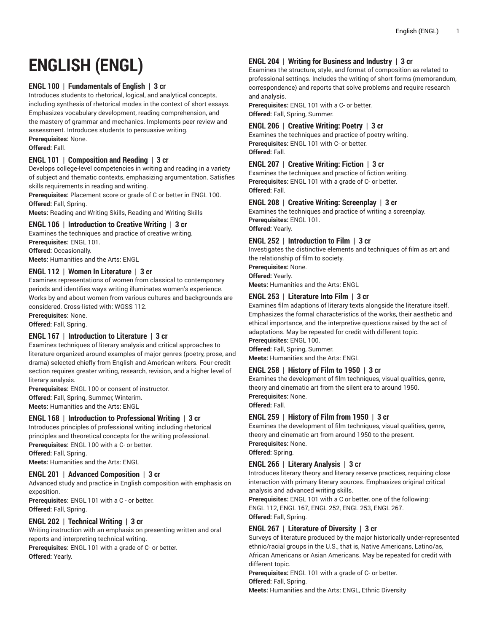# **ENGLISH (ENGL)**

# **ENGL 100 | Fundamentals of English | 3 cr**

Introduces students to rhetorical, logical, and analytical concepts, including synthesis of rhetorical modes in the context of short essays. Emphasizes vocabulary development, reading comprehension, and the mastery of grammar and mechanics. Implements peer review and assessment. Introduces students to persuasive writing. **Prerequisites:** None.

**Offered:** Fall.

# **ENGL 101 | Composition and Reading | 3 cr**

Develops college-level competencies in writing and reading in a variety of subject and thematic contexts, emphasizing argumentation. Satisfies skills requirements in reading and writing.

**Prerequisites:** Placement score or grade of C or better in ENGL 100. **Offered:** Fall, Spring.

**Meets:** Reading and Writing Skills, Reading and Writing Skills

## **ENGL 106 | Introduction to Creative Writing | 3 cr**

Examines the techniques and practice of creative writing. **Prerequisites:** ENGL 101.

**Offered:** Occasionally.

**Meets:** Humanities and the Arts: ENGL

## **ENGL 112 | Women In Literature | 3 cr**

Examines representations of women from classical to contemporary periods and identifies ways writing illuminates women's experience. Works by and about women from various cultures and backgrounds are considered. Cross-listed with: WGSS 112.

**Prerequisites:** None.

**Offered:** Fall, Spring.

## **ENGL 167 | Introduction to Literature | 3 cr**

Examines techniques of literary analysis and critical approaches to literature organized around examples of major genres (poetry, prose, and drama) selected chiefly from English and American writers. Four-credit section requires greater writing, research, revision, and a higher level of literary analysis.

**Prerequisites:** ENGL 100 or consent of instructor. **Offered:** Fall, Spring, Summer, Winterim. **Meets:** Humanities and the Arts: ENGL

## **ENGL 168 | Introduction to Professional Writing | 3 cr**

Introduces principles of professional writing including rhetorical principles and theoretical concepts for the writing professional. **Prerequisites:** ENGL 100 with a C- or better.

**Offered:** Fall, Spring.

**Meets:** Humanities and the Arts: ENGL

## **ENGL 201 | Advanced Composition | 3 cr**

Advanced study and practice in English composition with emphasis on exposition.

**Prerequisites:** ENGL 101 with a C - or better. **Offered:** Fall, Spring.

## **ENGL 202 | Technical Writing | 3 cr**

Writing instruction with an emphasis on presenting written and oral reports and interpreting technical writing.

**Prerequisites:** ENGL 101 with a grade of C- or better. **Offered:** Yearly.

## **ENGL 204 | Writing for Business and Industry | 3 cr**

Examines the structure, style, and format of composition as related to professional settings. Includes the writing of short forms (memorandum, correspondence) and reports that solve problems and require research and analysis.

**Prerequisites:** ENGL 101 with a C- or better. **Offered:** Fall, Spring, Summer.

## **ENGL 206 | Creative Writing: Poetry | 3 cr**

Examines the techniques and practice of poetry writing. **Prerequisites:** ENGL 101 with C- or better. **Offered:** Fall.

## **ENGL 207 | Creative Writing: Fiction | 3 cr**

Examines the techniques and practice of fiction writing. **Prerequisites:** ENGL 101 with a grade of C- or better. **Offered:** Fall.

## **ENGL 208 | Creative Writing: Screenplay | 3 cr**

Examines the techniques and practice of writing a screenplay. **Prerequisites:** ENGL 101. **Offered:** Yearly.

#### **ENGL 252 | Introduction to Film | 3 cr**

Investigates the distinctive elements and techniques of film as art and the relationship of film to society.

**Prerequisites:** None.

**Offered:** Yearly.

**Meets:** Humanities and the Arts: ENGL

# **ENGL 253 | Literature Into Film | 3 cr**

Examines film adaptions of literary texts alongside the literature itself. Emphasizes the formal characteristics of the works, their aesthetic and ethical importance, and the interpretive questions raised by the act of adaptations. May be repeated for credit with different topic.

**Prerequisites:** ENGL 100.

**Offered:** Fall, Spring, Summer.

**Meets:** Humanities and the Arts: ENGL

## **ENGL 258 | History of Film to 1950 | 3 cr**

Examines the development of film techniques, visual qualities, genre, theory and cinematic art from the silent era to around 1950. **Prerequisites:** None. **Offered:** Fall.

## **ENGL 259 | History of Film from 1950 | 3 cr**

Examines the development of film techniques, visual qualities, genre, theory and cinematic art from around 1950 to the present. **Prerequisites:** None.

**Offered:** Spring.

## **ENGL 266 | Literary Analysis | 3 cr**

Introduces literary theory and literary reserve practices, requiring close interaction with primary literary sources. Emphasizes original critical analysis and advanced writing skills.

**Prerequisites:** ENGL 101 with a C or better, one of the following: ENGL 112, ENGL 167, ENGL 252, ENGL 253, ENGL 267. **Offered:** Fall, Spring.

## **ENGL 267 | Literature of Diversity | 3 cr**

Surveys of literature produced by the major historically under-represented ethnic/racial groups in the U.S., that is, Native Americans, Latino/as, African Americans or Asian Americans. May be repeated for credit with different topic.

**Prerequisites:** ENGL 101 with a grade of C- or better.

**Offered:** Fall, Spring.

**Meets:** Humanities and the Arts: ENGL, Ethnic Diversity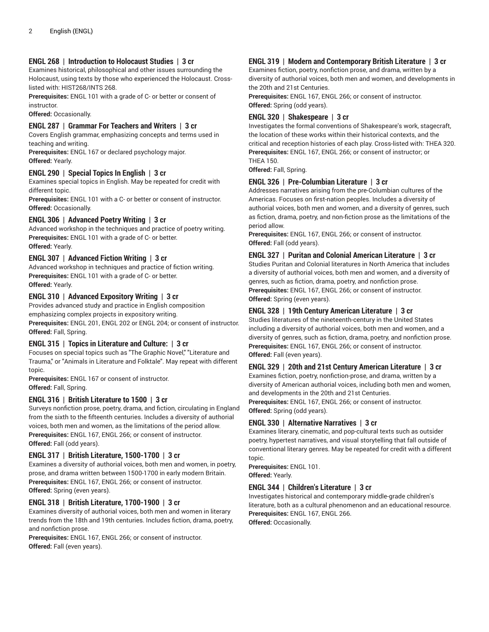#### **ENGL 268 | Introduction to Holocaust Studies | 3 cr**

Examines historical, philosophical and other issues surrounding the Holocaust, using texts by those who experienced the Holocaust. Crosslisted with: HIST268/INTS 268.

**Prerequisites:** ENGL 101 with a grade of C- or better or consent of instructor.

**Offered:** Occasionally.

#### **ENGL 287 | Grammar For Teachers and Writers | 3 cr**

Covers English grammar, emphasizing concepts and terms used in teaching and writing.

**Prerequisites:** ENGL 167 or declared psychology major. **Offered:** Yearly.

#### **ENGL 290 | Special Topics In English | 3 cr**

Examines special topics in English. May be repeated for credit with different topic.

**Prerequisites:** ENGL 101 with a C- or better or consent of instructor. **Offered:** Occasionally.

#### **ENGL 306 | Advanced Poetry Writing | 3 cr**

Advanced workshop in the techniques and practice of poetry writing. **Prerequisites:** ENGL 101 with a grade of C- or better. **Offered:** Yearly.

#### **ENGL 307 | Advanced Fiction Writing | 3 cr**

Advanced workshop in techniques and practice of fiction writing. **Prerequisites:** ENGL 101 with a grade of C- or better. **Offered:** Yearly.

#### **ENGL 310 | Advanced Expository Writing | 3 cr**

Provides advanced study and practice in English composition emphasizing complex projects in expository writing. **Prerequisites:** ENGL 201, ENGL 202 or ENGL 204; or consent of instructor. **Offered:** Fall, Spring.

# **ENGL 315 | Topics in Literature and Culture: | 3 cr**

Focuses on special topics such as "The Graphic Novel," "Literature and Trauma," or "Animals in Literature and Folktale". May repeat with different topic.

**Prerequisites:** ENGL 167 or consent of instructor. **Offered:** Fall, Spring.

## **ENGL 316 | British Literature to 1500 | 3 cr**

Surveys nonfiction prose, poetry, drama, and fiction, circulating in England from the sixth to the fifteenth centuries. Includes a diversity of authorial voices, both men and women, as the limitations of the period allow. **Prerequisites:** ENGL 167, ENGL 266; or consent of instructor. **Offered:** Fall (odd years).

#### **ENGL 317 | British Literature, 1500-1700 | 3 cr**

Examines a diversity of authorial voices, both men and women, in poetry, prose, and drama written between 1500-1700 in early modern Britain. **Prerequisites:** ENGL 167, ENGL 266; or consent of instructor. **Offered:** Spring (even years).

## **ENGL 318 | British Literature, 1700-1900 | 3 cr**

Examines diversity of authorial voices, both men and women in literary trends from the 18th and 19th centuries. Includes fiction, drama, poetry, and nonfiction prose.

**Prerequisites:** ENGL 167, ENGL 266; or consent of instructor. **Offered:** Fall (even years).

#### **ENGL 319 | Modern and Contemporary British Literature | 3 cr**

Examines fiction, poetry, nonfiction prose, and drama, written by a diversity of authorial voices, both men and women, and developments in the 20th and 21st Centuries.

**Prerequisites:** ENGL 167, ENGL 266; or consent of instructor. **Offered:** Spring (odd years).

#### **ENGL 320 | Shakespeare | 3 cr**

Investigates the formal conventions of Shakespeare's work, stagecraft, the location of these works within their historical contexts, and the critical and reception histories of each play. Cross-listed with: THEA 320. **Prerequisites:** ENGL 167, ENGL 266; or consent of instructor; or THEA 150.

**Offered:** Fall, Spring.

#### **ENGL 326 | Pre-Columbian Literature | 3 cr**

Addresses narratives arising from the pre-Columbian cultures of the Americas. Focuses on first-nation peoples. Includes a diversity of authorial voices, both men and women, and a diversity of genres, such as fiction, drama, poetry, and non-fiction prose as the limitations of the period allow.

**Prerequisites:** ENGL 167, ENGL 266; or consent of instructor. **Offered:** Fall (odd years).

#### **ENGL 327 | Puritan and Colonial American Literature | 3 cr**

Studies Puritan and Colonial literatures in North America that includes a diversity of authorial voices, both men and women, and a diversity of genres, such as fiction, drama, poetry, and nonfiction prose. **Prerequisites:** ENGL 167, ENGL 266; or consent of instructor. **Offered:** Spring (even years).

## **ENGL 328 | 19th Century American Literature | 3 cr**

Studies literatures of the nineteenth-century in the United States including a diversity of authorial voices, both men and women, and a diversity of genres, such as fiction, drama, poetry, and nonfiction prose. **Prerequisites:** ENGL 167, ENGL 266; or consent of instructor. **Offered:** Fall (even years).

#### **ENGL 329 | 20th and 21st Century American Literature | 3 cr**

Examines fiction, poetry, nonfiction-prose, and drama, written by a diversity of American authorial voices, including both men and women, and developments in the 20th and 21st Centuries. **Prerequisites:** ENGL 167, ENGL 266; or consent of instructor.

**Offered:** Spring (odd years).

#### **ENGL 330 | Alternative Narratives | 3 cr**

Examines literary, cinematic, and pop-cultural texts such as outsider poetry, hypertest narratives, and visual storytelling that fall outside of conventional literary genres. May be repeated for credit with a different topic.

**Prerequisites:** ENGL 101. **Offered:** Yearly.

# **ENGL 344 | Children's Literature | 3 cr**

Investigates historical and contemporary middle-grade children's literature, both as a cultural phenomenon and an educational resource. **Prerequisites:** ENGL 167, ENGL 266. **Offered:** Occasionally.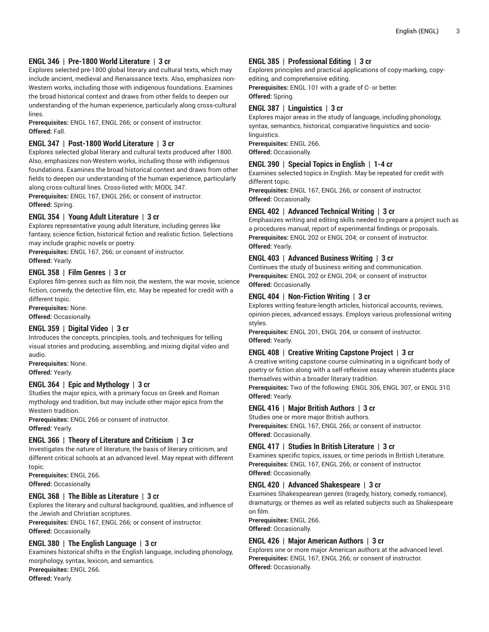# **ENGL 346 | Pre-1800 World Literature | 3 cr**

Explores selected pre-1800 global literary and cultural texts, which may include ancient, medieval and Renaissance texts. Also, emphasizes non-Western works, including those with indigenous foundations. Examines the broad historical context and draws from other fields to deepen our understanding of the human experience, particularly along cross-cultural lines.

**Prerequisites:** ENGL 167, ENGL 266; or consent of instructor. **Offered:** Fall.

## **ENGL 347 | Post-1800 World Literature | 3 cr**

Explores selected global literary and cultural texts produced after 1800. Also, emphasizes non-Western works, including those with indigenous foundations. Examines the broad historical context and draws from other fields to deepen our understanding of the human experience, particularly along cross-cultural lines. Cross-listed with: MODL 347.

**Prerequisites:** ENGL 167, ENGL 266; or consent of instructor. **Offered:** Spring.

## **ENGL 354 | Young Adult Literature | 3 cr**

Explores representative young adult literature, including genres like fantasy, science fiction, historical fiction and realistic fiction. Selections may include graphic novels or poetry.

**Prerequisites:** ENGL 167, 266; or consent of instructor. **Offered:** Yearly.

#### **ENGL 358 | Film Genres | 3 cr**

Explores film genres such as film noir, the western, the war movie, science fiction, comedy, the detective film, etc. May be repeated for credit with a different topic.

**Prerequisites:** None. **Offered:** Occasionally.

# **ENGL 359 | Digital Video | 3 cr**

Introduces the concepts, principles, tools, and techniques for telling visual stories and producing, assembling, and mixing digital video and audio.

**Prerequisites:** None. **Offered:** Yearly.

## **ENGL 364 | Epic and Mythology | 3 cr**

Studies the major epics, with a primary focus on Greek and Roman mythology and tradition, but may include other major epics from the Western tradition.

**Prerequisites:** ENGL 266 or consent of instructor. **Offered:** Yearly.

#### **ENGL 366 | Theory of Literature and Criticism | 3 cr**

Investigates the nature of literature, the basis of literary criticism, and different critical schools at an advanced level. May repeat with different topic.

**Prerequisites:** ENGL 266. **Offered:** Occasionally.

## **ENGL 368 | The Bible as Literature | 3 cr**

Explores the literary and cultural background, qualities, and influence of the Jewish and Christian scriptures.

**Prerequisites:** ENGL 167, ENGL 266; or consent of instructor. **Offered:** Occasionally.

## **ENGL 380 | The English Language | 3 cr**

Examines historical shifts in the English language, including phonology, morphology, syntax, lexicon, and semantics. **Prerequisites:** ENGL 266. **Offered:** Yearly.

# **ENGL 385 | Professional Editing | 3 cr**

Explores principles and practical applications of copy-marking, copyediting, and comprehensive editing.

**Prerequisites:** ENGL 101 with a grade of C- or better. **Offered:** Spring.

## **ENGL 387 | Linguistics | 3 cr**

Explores major areas in the study of language, including phonology, syntax, semantics, historical, comparative linguistics and sociolinguistics.

**Prerequisites:** ENGL 266. **Offered:** Occasionally.

# **ENGL 390 | Special Topics in English | 1-4 cr**

Examines selected topics in English. May be repeated for credit with different topic.

**Prerequisites:** ENGL 167, ENGL 266; or consent of instructor. **Offered:** Occasionally.

# **ENGL 402 | Advanced Technical Writing | 3 cr**

Emphasizes writing and editing skills needed to prepare a project such as a procedures manual, report of experimental findings or proposals. **Prerequisites:** ENGL 202 or ENGL 204; or consent of instructor. **Offered:** Yearly.

## **ENGL 403 | Advanced Business Writing | 3 cr**

Continues the study of business writing and communication. **Prerequisites:** ENGL 202 or ENGL 204; or consent of instructor. **Offered:** Occasionally.

# **ENGL 404 | Non-Fiction Writing | 3 cr**

Explores writing feature-length articles, historical accounts, reviews, opinion pieces, advanced essays. Employs various professional writing styles.

**Prerequisites:** ENGL 201, ENGL 204, or consent of instructor. **Offered:** Yearly.

#### **ENGL 408 | Creative Writing Capstone Project | 3 cr**

A creative writing capstone course culminating in a significant body of poetry or fiction along with a self-reflexive essay wherein students place themselves within a broader literary tradition.

**Prerequisites:** Two of the following: ENGL 306, ENGL 307, or ENGL 310. **Offered:** Yearly.

## **ENGL 416 | Major British Authors | 3 cr**

Studies one or more major British authors. **Prerequisites:** ENGL 167, ENGL 266; or consent of instructor. **Offered:** Occasionally.

## **ENGL 417 | Studies In British Literature | 3 cr**

Examines specific topics, issues, or time periods in British Literature. **Prerequisites:** ENGL 167, ENGL 266; or consent of instructor. **Offered:** Occasionally.

#### **ENGL 420 | Advanced Shakespeare | 3 cr**

Examines Shakespearean genres (tragedy, history, comedy, romance), dramaturgy, or themes as well as related subjects such as Shakespeare on film.

**Prerequisites:** ENGL 266.

**Offered:** Occasionally.

## **ENGL 426 | Major American Authors | 3 cr**

Explores one or more major American authors at the advanced level. **Prerequisites:** ENGL 167, ENGL 266; or consent of instructor. **Offered:** Occasionally.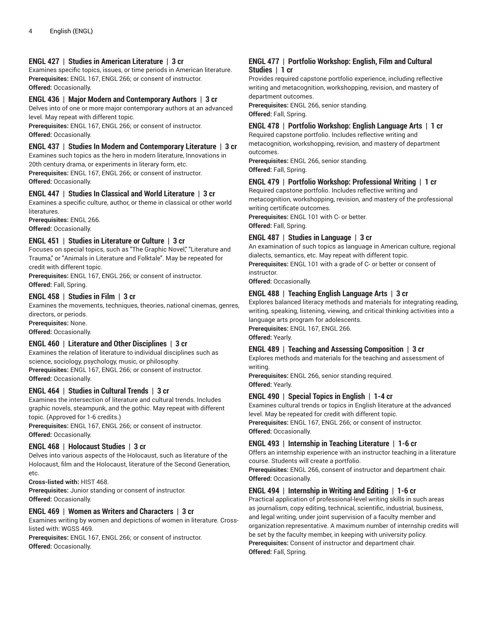## **ENGL 427 | Studies in American Literature | 3 cr**

Examines specific topics, issues, or time periods in American literature. **Prerequisites:** ENGL 167, ENGL 266; or consent of instructor. **Offered:** Occasionally.

#### **ENGL 436 | Major Modern and Contemporary Authors | 3 cr**

Delves into of one or more major contemporary authors at an advanced level. May repeat with different topic.

**Prerequisites:** ENGL 167, ENGL 266; or consent of instructor. **Offered:** Occasionally.

## **ENGL 437 | Studies In Modern and Contemporary Literature | 3 cr**

Examines such topics as the hero in modern literature, Innovations in 20th century drama, or experiments in literary form, etc. **Prerequisites:** ENGL 167, ENGL 266; or consent of instructor.

**Offered:** Occasionally.

#### **ENGL 447 | Studies In Classical and World Literature | 3 cr**

Examines a specific culture, author, or theme in classical or other world literatures.

**Prerequisites:** ENGL 266. **Offered:** Occasionally.

## **ENGL 451 | Studies in Literature or Culture | 3 cr**

Focuses on special topics, such as "The Graphic Novel," "Literature and Trauma," or "Animals in Literature and Folktale". May be repeated for credit with different topic.

**Prerequisites:** ENGL 167, ENGL 266; or consent of instructor. **Offered:** Fall, Spring.

## **ENGL 458 | Studies in Film | 3 cr**

Examines the movements, techniques, theories, national cinemas, genres, directors, or periods.

**Prerequisites:** None. **Offered:** Occasionally.

## **ENGL 460 | Literature and Other Disciplines | 3 cr**

Examines the relation of literature to individual disciplines such as science, sociology, psychology, music, or philosophy. **Prerequisites:** ENGL 167, ENGL 266; or consent of instructor. **Offered:** Occasionally.

## **ENGL 464 | Studies in Cultural Trends | 3 cr**

Examines the intersection of literature and cultural trends. Includes graphic novels, steampunk, and the gothic. May repeat with different topic. (Approved for 1-6 credits.)

**Prerequisites:** ENGL 167, ENGL 266; or consent of instructor. **Offered:** Occasionally.

#### **ENGL 468 | Holocaust Studies | 3 cr**

Delves into various aspects of the Holocaust, such as literature of the Holocaust, film and the Holocaust, literature of the Second Generation, etc.

**Cross-listed with:** HIST 468.

**Prerequisites:** Junior standing or consent of instructor. **Offered:** Occasionally.

## **ENGL 469 | Women as Writers and Characters | 3 cr**

Examines writing by women and depictions of women in literature. Crosslisted with: WGSS 469.

**Prerequisites:** ENGL 167, ENGL 266; or consent of instructor. **Offered:** Occasionally.

#### **ENGL 477 | Portfolio Workshop: English, Film and Cultural Studies | 1 cr**

Provides required capstone portfolio experience, including reflective writing and metacognition, workshopping, revision, and mastery of department outcomes.

**Prerequisites:** ENGL 266, senior standing. **Offered:** Fall, Spring.

# **ENGL 478 | Portfolio Workshop: English Language Arts | 1 cr**

Required capstone portfolio. Includes reflective writing and metacognition, workshopping, revision, and mastery of department outcomes.

**Prerequisites:** ENGL 266, senior standing. **Offered:** Fall, Spring.

# **ENGL 479 | Portfolio Workshop: Professional Writing | 1 cr**

Required capstone portfolio. Includes reflective writing and metacognition, workshopping, revision, and mastery of the professional writing certificate outcomes.

**Prerequisites:** ENGL 101 with C- or better.

**Offered:** Fall, Spring.

## **ENGL 487 | Studies in Language | 3 cr**

An examination of such topics as language in American culture, regional dialects, semantics, etc. May repeat with different topic. **Prerequisites:** ENGL 101 with a grade of C- or better or consent of instructor.

**Offered:** Occasionally.

# **ENGL 488 | Teaching English Language Arts | 3 cr**

Explores balanced literacy methods and materials for integrating reading, writing, speaking, listening, viewing, and critical thinking activities into a language arts program for adolescents. **Prerequisites:** ENGL 167, ENGL 266.

**Offered:** Yearly.

## **ENGL 489 | Teaching and Assessing Composition | 3 cr**

Explores methods and materials for the teaching and assessment of writing.

**Prerequisites:** ENGL 266, senior standing required. **Offered:** Yearly.

## **ENGL 490 | Special Topics in English | 1-4 cr**

Examines cultural trends or topics in English literature at the advanced level. May be repeated for credit with different topic. **Prerequisites:** ENGL 167, ENGL 266; or consent of instructor.

**Offered:** Occasionally.

## **ENGL 493 | Internship in Teaching Literature | 1-6 cr**

Offers an internship experience with an instructor teaching in a literature course. Students will create a portfolio.

**Prerequisites:** ENGL 266, consent of instructor and department chair. **Offered:** Occasionally.

## **ENGL 494 | Internship in Writing and Editing | 1-6 cr**

Practical application of professional-level writing skills in such areas as journalism, copy editing, technical, scientific, industrial, business, and legal writing, under joint supervision of a faculty member and organization representative. A maximum number of internship credits will be set by the faculty member, in keeping with university policy. **Prerequisites:** Consent of instructor and department chair. **Offered:** Fall, Spring.